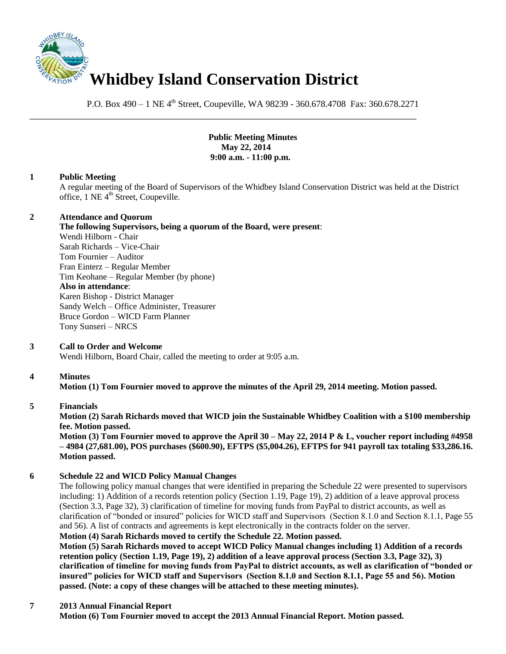

P.O. Box 490 – 1 NE 4<sup>th</sup> Street, Coupeville, WA 98239 - 360.678.4708 Fax: 360.678.2271

\_\_\_\_\_\_\_\_\_\_\_\_\_\_\_\_\_\_\_\_\_\_\_\_\_\_\_\_\_\_\_\_\_\_\_\_\_\_\_\_\_\_\_\_\_\_\_\_\_\_\_\_\_\_\_\_\_\_\_\_\_\_\_\_\_\_\_\_\_\_\_\_\_\_\_\_\_\_

**Public Meeting Minutes May 22, 2014 9:00 a.m. - 11:00 p.m.**

### **1 Public Meeting**

A regular meeting of the Board of Supervisors of the Whidbey Island Conservation District was held at the District office,  $1$  NE  $4<sup>th</sup>$  Street, Coupeville.

### **2 Attendance and Quorum**

**The following Supervisors, being a quorum of the Board, were present**:

Wendi Hilborn - Chair Sarah Richards – Vice-Chair Tom Fournier – Auditor Fran Einterz – Regular Member Tim Keohane – Regular Member (by phone) **Also in attendance**: Karen Bishop - District Manager Sandy Welch – Office Administer, Treasurer Bruce Gordon – WICD Farm Planner Tony Sunseri – NRCS

# **3 Call to Order and Welcome**

Wendi Hilborn, Board Chair, called the meeting to order at 9:05 a.m.

# **4 Minutes**

**Motion (1) Tom Fournier moved to approve the minutes of the April 29, 2014 meeting. Motion passed.** 

#### **5 Financials**

**Motion (2) Sarah Richards moved that WICD join the Sustainable Whidbey Coalition with a \$100 membership fee. Motion passed.** 

**Motion (3) Tom Fournier moved to approve the April 30 – May 22, 2014 P & L, voucher report including #4958 – 4984 (27,681.00), POS purchases (\$600.90), EFTPS (\$5,004.26), EFTPS for 941 payroll tax totaling \$33,286.16. Motion passed.**

# **6 Schedule 22 and WICD Policy Manual Changes**

The following policy manual changes that were identified in preparing the Schedule 22 were presented to supervisors including: 1) Addition of a records retention policy (Section 1.19, Page 19), 2) addition of a leave approval process (Section 3.3, Page 32), 3) clarification of timeline for moving funds from PayPal to district accounts, as well as clarification of "bonded or insured" policies for WICD staff and Supervisors (Section 8.1.0 and Section 8.1.1, Page 55 and 56). A list of contracts and agreements is kept electronically in the contracts folder on the server.

**Motion (4) Sarah Richards moved to certify the Schedule 22. Motion passed. Motion (5) Sarah Richards moved to accept WICD Policy Manual changes including 1) Addition of a records retention policy (Section 1.19, Page 19), 2) addition of a leave approval process (Section 3.3, Page 32), 3) clarification of timeline for moving funds from PayPal to district accounts, as well as clarification of "bonded or insured" policies for WICD staff and Supervisors (Section 8.1.0 and Section 8.1.1, Page 55 and 56). Motion passed. (Note: a copy of these changes will be attached to these meeting minutes).**

# **7 2013 Annual Financial Report**

**Motion (6) Tom Fournier moved to accept the 2013 Annual Financial Report. Motion passed.**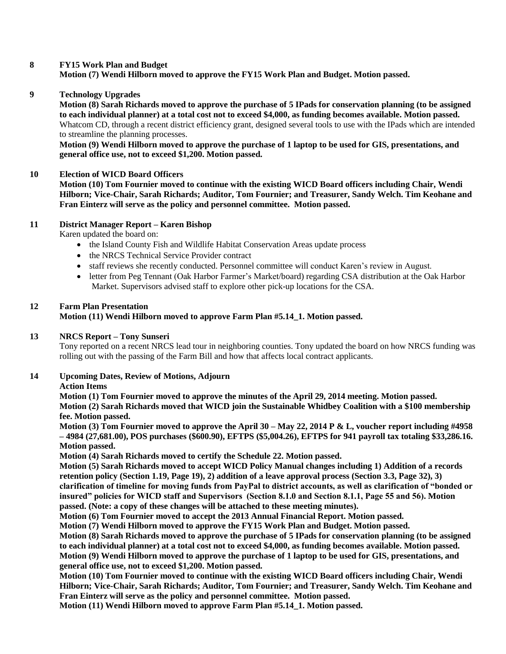### **8 FY15 Work Plan and Budget**

**Motion (7) Wendi Hilborn moved to approve the FY15 Work Plan and Budget. Motion passed.** 

**9 Technology Upgrades** 

**Motion (8) Sarah Richards moved to approve the purchase of 5 IPads for conservation planning (to be assigned to each individual planner) at a total cost not to exceed \$4,000, as funding becomes available. Motion passed.** Whatcom CD, through a recent district efficiency grant, designed several tools to use with the IPads which are intended to streamline the planning processes.

**Motion (9) Wendi Hilborn moved to approve the purchase of 1 laptop to be used for GIS, presentations, and general office use, not to exceed \$1,200. Motion passed.** 

#### **10 Election of WICD Board Officers**

**Motion (10) Tom Fournier moved to continue with the existing WICD Board officers including Chair, Wendi Hilborn; Vice-Chair, Sarah Richards; Auditor, Tom Fournier; and Treasurer, Sandy Welch. Tim Keohane and Fran Einterz will serve as the policy and personnel committee. Motion passed.** 

### **11 District Manager Report – Karen Bishop**

Karen updated the board on:

- the Island County Fish and Wildlife Habitat Conservation Areas update process
- the NRCS Technical Service Provider contract
- staff reviews she recently conducted. Personnel committee will conduct Karen's review in August.
- letter from Peg Tennant (Oak Harbor Farmer's Market/board) regarding CSA distribution at the Oak Harbor Market. Supervisors advised staff to explore other pick-up locations for the CSA.

### **12 Farm Plan Presentation Motion (11) Wendi Hilborn moved to approve Farm Plan #5.14\_1. Motion passed.**

#### **13 NRCS Report – Tony Sunseri**

Tony reported on a recent NRCS lead tour in neighboring counties. Tony updated the board on how NRCS funding was rolling out with the passing of the Farm Bill and how that affects local contract applicants.

**14 Upcoming Dates, Review of Motions, Adjourn**

#### **Action Items**

**Motion (1) Tom Fournier moved to approve the minutes of the April 29, 2014 meeting. Motion passed. Motion (2) Sarah Richards moved that WICD join the Sustainable Whidbey Coalition with a \$100 membership fee. Motion passed.** 

**Motion (3) Tom Fournier moved to approve the April 30 – May 22, 2014 P & L, voucher report including #4958 – 4984 (27,681.00), POS purchases (\$600.90), EFTPS (\$5,004.26), EFTPS for 941 payroll tax totaling \$33,286.16. Motion passed.**

**Motion (4) Sarah Richards moved to certify the Schedule 22. Motion passed.** 

**Motion (5) Sarah Richards moved to accept WICD Policy Manual changes including 1) Addition of a records retention policy (Section 1.19, Page 19), 2) addition of a leave approval process (Section 3.3, Page 32), 3) clarification of timeline for moving funds from PayPal to district accounts, as well as clarification of "bonded or insured" policies for WICD staff and Supervisors (Section 8.1.0 and Section 8.1.1, Page 55 and 56). Motion passed. (Note: a copy of these changes will be attached to these meeting minutes).**

**Motion (6) Tom Fournier moved to accept the 2013 Annual Financial Report. Motion passed.**

**Motion (7) Wendi Hilborn moved to approve the FY15 Work Plan and Budget. Motion passed.** 

**Motion (8) Sarah Richards moved to approve the purchase of 5 IPads for conservation planning (to be assigned to each individual planner) at a total cost not to exceed \$4,000, as funding becomes available. Motion passed. Motion (9) Wendi Hilborn moved to approve the purchase of 1 laptop to be used for GIS, presentations, and general office use, not to exceed \$1,200. Motion passed.** 

**Motion (10) Tom Fournier moved to continue with the existing WICD Board officers including Chair, Wendi Hilborn; Vice-Chair, Sarah Richards; Auditor, Tom Fournier; and Treasurer, Sandy Welch. Tim Keohane and Fran Einterz will serve as the policy and personnel committee. Motion passed.** 

**Motion (11) Wendi Hilborn moved to approve Farm Plan #5.14\_1. Motion passed.**